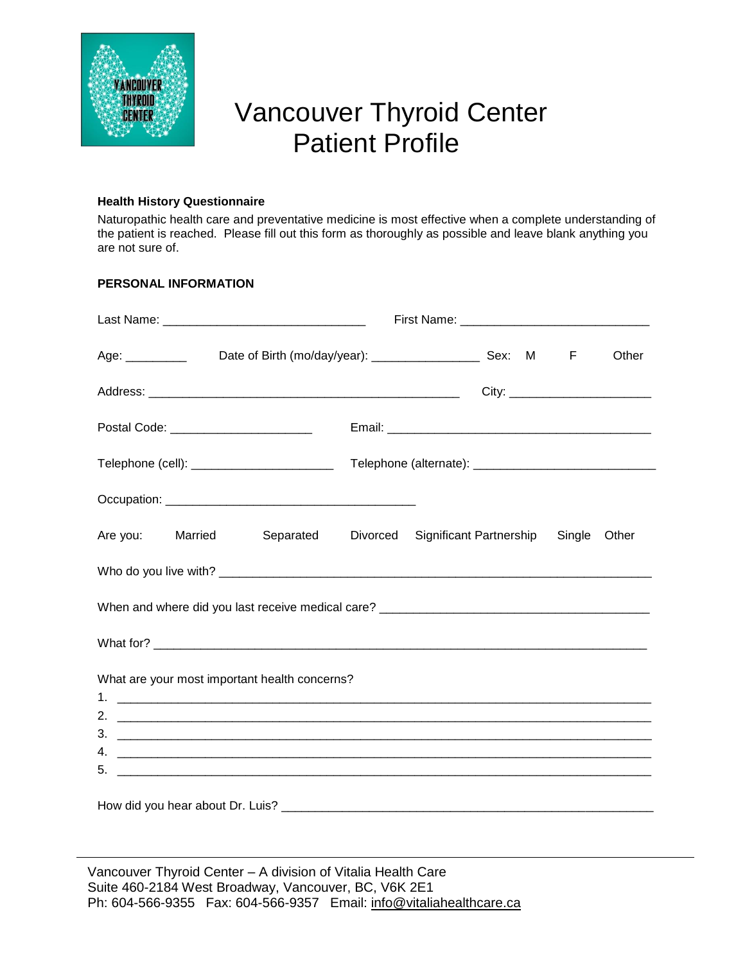

# Vancouver Thyroid Center Patient Profile

# **Health History Questionnaire**

Naturopathic health care and preventative medicine is most effective when a complete understanding of the patient is reached. Please fill out this form as thoroughly as possible and leave blank anything you are not sure of.

# **PERSONAL INFORMATION**

| Age: _____________  Date of Birth (mo/day/year): ________________________Sex: M F |  |  |  | Other |
|-----------------------------------------------------------------------------------|--|--|--|-------|
|                                                                                   |  |  |  |       |
| Postal Code: ___________________________                                          |  |  |  |       |
| Telephone (cell): __________________________                                      |  |  |  |       |
|                                                                                   |  |  |  |       |
| Are you: Married Separated Divorced Significant Partnership Single Other          |  |  |  |       |
|                                                                                   |  |  |  |       |
|                                                                                   |  |  |  |       |
|                                                                                   |  |  |  |       |
| What are your most important health concerns?                                     |  |  |  |       |
|                                                                                   |  |  |  |       |

Vancouver Thyroid Center – A division of Vitalia Health Care Suite 460-2184 West Broadway, Vancouver, BC, V6K 2E1 Ph: 604-566-9355 Fax: 604-566-9357 Email: [info@vitaliahealthcare.ca](mailto:info@vitaliahealthcare.ca)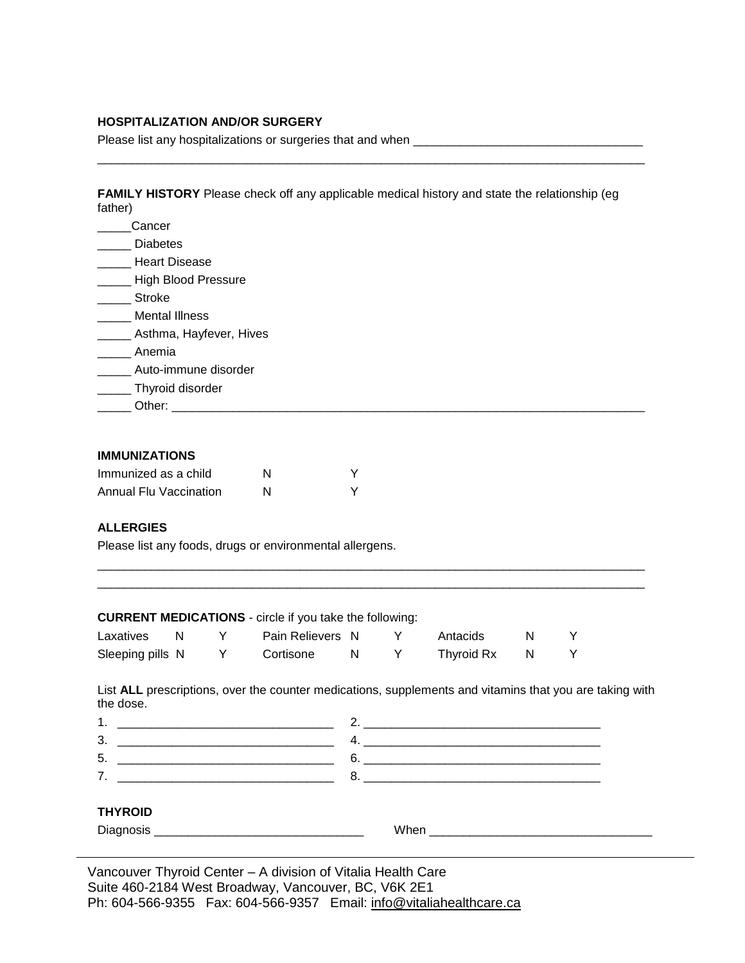## **HOSPITALIZATION AND/OR SURGERY**

Please list any hospitalizations or surgeries that and when \_\_\_\_\_\_\_\_\_\_\_\_\_\_\_\_\_\_\_\_\_\_\_\_\_\_\_\_\_\_\_\_\_\_

**FAMILY HISTORY** Please check off any applicable medical history and state the relationship (eg father)

\_\_\_\_\_\_\_\_\_\_\_\_\_\_\_\_\_\_\_\_\_\_\_\_\_\_\_\_\_\_\_\_\_\_\_\_\_\_\_\_\_\_\_\_\_\_\_\_\_\_\_\_\_\_\_\_\_\_\_\_\_\_\_\_\_\_\_\_\_\_\_\_\_\_\_\_\_\_\_\_\_

| Cancer                     |
|----------------------------|
| <b>Diabetes</b>            |
| <b>Heart Disease</b>       |
| <b>High Blood Pressure</b> |
| <b>Stroke</b>              |
| <b>Mental Illness</b>      |
| Asthma, Hayfever, Hives    |
| Anemia                     |
| Auto-immune disorder       |
| Thyroid disorder           |
| Other:                     |

#### **IMMUNIZATIONS**

| Immunized as a child   | N |  |
|------------------------|---|--|
| Annual Flu Vaccination | N |  |

## **ALLERGIES**

Please list any foods, drugs or environmental allergens.

#### **CURRENT MEDICATIONS** - circle if you take the following:

| Laxatives        |  | Pain Relievers N |  | Antacids   |  |
|------------------|--|------------------|--|------------|--|
| Sleeping pills N |  | Cortisone        |  | Thyroid Rx |  |

List **ALL** prescriptions, over the counter medications, supplements and vitamins that you are taking with the dose.

\_\_\_\_\_\_\_\_\_\_\_\_\_\_\_\_\_\_\_\_\_\_\_\_\_\_\_\_\_\_\_\_\_\_\_\_\_\_\_\_\_\_\_\_\_\_\_\_\_\_\_\_\_\_\_\_\_\_\_\_\_\_\_\_\_\_\_\_\_\_\_\_\_\_\_\_\_\_\_\_\_

| -<br>ີ<br>______ |  |
|------------------|--|
|                  |  |

## **THYROID**

Diagnosis \_\_\_\_\_\_\_\_\_\_\_\_\_\_\_\_\_\_\_\_\_\_\_\_\_\_\_\_\_\_\_ When \_\_\_\_\_\_\_\_\_\_\_\_\_\_\_\_\_\_\_\_\_\_\_\_\_\_\_\_\_\_\_\_\_

Vancouver Thyroid Center – A division of Vitalia Health Care Suite 460-2184 West Broadway, Vancouver, BC, V6K 2E1 Ph: 604-566-9355 Fax: 604-566-9357 Email: [info@vitaliahealthcare.ca](mailto:info@vitaliahealthcare.ca)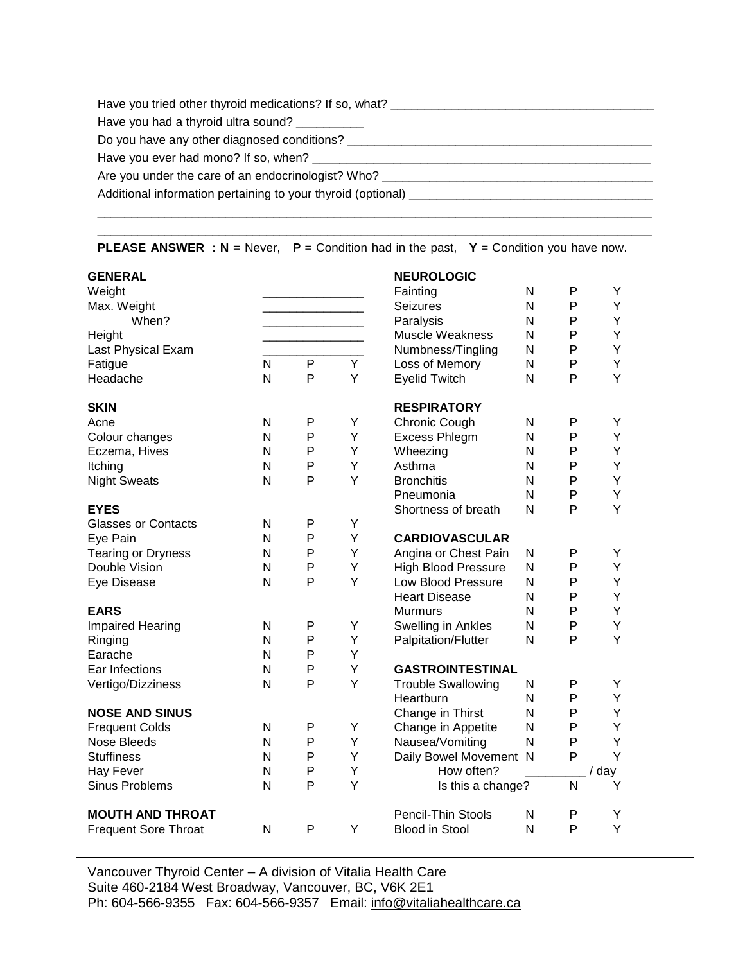| Have you tried other thyroid medications? If so, what?                           |
|----------------------------------------------------------------------------------|
| Have you had a thyroid ultra sound?                                              |
| Do you have any other diagnosed conditions?                                      |
| Have you ever had mono? If so, when?                                             |
| Are you under the care of an endocrinologist? Who? _____________________________ |
|                                                                                  |
|                                                                                  |

\_\_\_\_\_\_\_\_\_\_\_\_\_\_\_\_\_\_\_\_\_\_\_\_\_\_\_\_\_\_\_\_\_\_\_\_\_\_\_\_\_\_\_\_\_\_\_\_\_\_\_\_\_\_\_\_\_\_\_\_\_\_\_\_\_\_\_\_\_\_\_\_\_\_\_\_\_\_\_\_\_\_

**PLEASE ANSWER : N** = Never, **P** = Condition had in the past, **Y** = Condition you have now.

| <b>GENERAL</b>                       |              |        |   | <b>NEUROLOGIC</b>                         |                   |              |        |
|--------------------------------------|--------------|--------|---|-------------------------------------------|-------------------|--------------|--------|
| Weight                               |              |        |   | Fainting                                  | N                 | P            | Y      |
| Max. Weight                          |              |        |   | <b>Seizures</b>                           | $\mathsf{N}$      | P            | Y      |
| When?                                |              |        |   | Paralysis                                 | N                 | P            | Υ      |
| Height                               |              |        |   | <b>Muscle Weakness</b>                    | N                 | P            | Y      |
| Last Physical Exam                   |              |        |   | Numbness/Tingling                         | N                 | P            | Υ      |
| Fatigue                              | N            | P      | Y | Loss of Memory                            | N                 | P            | Y      |
| Headache                             | N            | P      | Y | <b>Eyelid Twitch</b>                      | $\mathsf{N}$      | P            | Y      |
| <b>SKIN</b>                          |              |        |   | <b>RESPIRATORY</b>                        |                   |              |        |
| Acne                                 | N            | P      | Υ | Chronic Cough                             | $\mathsf{N}$      | P            | Υ      |
| Colour changes                       | N            | P      | Υ | <b>Excess Phlegm</b>                      | $\mathsf{N}$      | $\mathsf{P}$ | Υ      |
| Eczema, Hives                        | N            | P      | Y | Wheezing                                  | N                 | P            | Y      |
| Itching                              | N            | P      | Υ | Asthma                                    | N                 | P            | Υ      |
| <b>Night Sweats</b>                  | N            | P      | Y | <b>Bronchitis</b>                         | N                 | P            | Y      |
|                                      |              |        |   | Pneumonia                                 | N                 | P            | Υ      |
| <b>EYES</b>                          |              |        |   | Shortness of breath                       | $\mathsf{N}$      | P            | Y      |
| <b>Glasses or Contacts</b>           | N            | P      | Y |                                           |                   |              |        |
| Eye Pain                             | N            | P      | Υ | <b>CARDIOVASCULAR</b>                     |                   |              |        |
| <b>Tearing or Dryness</b>            | N            | P      | Y | Angina or Chest Pain                      | N                 | P            | Y      |
| Double Vision                        | N            | P      | Y | <b>High Blood Pressure</b>                | N                 | P            | Y      |
| Eye Disease                          | N            | P      | Y | Low Blood Pressure                        | N                 | P            | Y      |
|                                      |              |        |   | <b>Heart Disease</b>                      | N                 | P            | Y      |
| <b>EARS</b>                          |              |        |   | Murmurs                                   | N                 | P            | Υ      |
| Impaired Hearing                     | $\mathsf{N}$ | P      | Υ | Swelling in Ankles                        | $\mathsf{N}$      | P            | Υ      |
| Ringing                              | N            | P      | Y | <b>Palpitation/Flutter</b>                | N                 | P            | Y      |
| Earache                              | N            | P      | Y |                                           |                   |              |        |
| Ear Infections                       | N            | P      | Y | <b>GASTROINTESTINAL</b>                   |                   |              |        |
| Vertigo/Dizziness                    | N            | P      | Y | <b>Trouble Swallowing</b>                 | $\mathsf{N}$      | P            | Υ      |
|                                      |              |        |   | Heartburn                                 | N<br>$\mathsf{N}$ | P            | Y<br>Y |
| <b>NOSE AND SINUS</b>                | N            |        | Υ | Change in Thirst                          | N                 | P<br>P       | Y      |
| <b>Frequent Colds</b><br>Nose Bleeds | N            | Ρ<br>P | Y | Change in Appetite                        | N                 | P            | Y      |
| <b>Stuffiness</b>                    | N            | P      | Y | Nausea/Vomiting<br>Daily Bowel Movement N |                   | P            | Y      |
| <b>Hay Fever</b>                     | N            | P      | Υ | How often?                                |                   |              | / day  |
| <b>Sinus Problems</b>                | N            | P      | Y | Is this a change?                         |                   | N            | Y      |
|                                      |              |        |   |                                           |                   |              |        |
| <b>MOUTH AND THROAT</b>              |              |        |   | Pencil-Thin Stools                        | N                 | P            | Υ      |
| <b>Frequent Sore Throat</b>          | N            | P      | Y | <b>Blood in Stool</b>                     | $\mathsf{N}$      | P            | Y      |
|                                      |              |        |   |                                           |                   |              |        |

Vancouver Thyroid Center – A division of Vitalia Health Care Suite 460-2184 West Broadway, Vancouver, BC, V6K 2E1 Ph: 604-566-9355 Fax: 604-566-9357 Email: [info@vitaliahealthcare.ca](mailto:info@vitaliahealthcare.ca)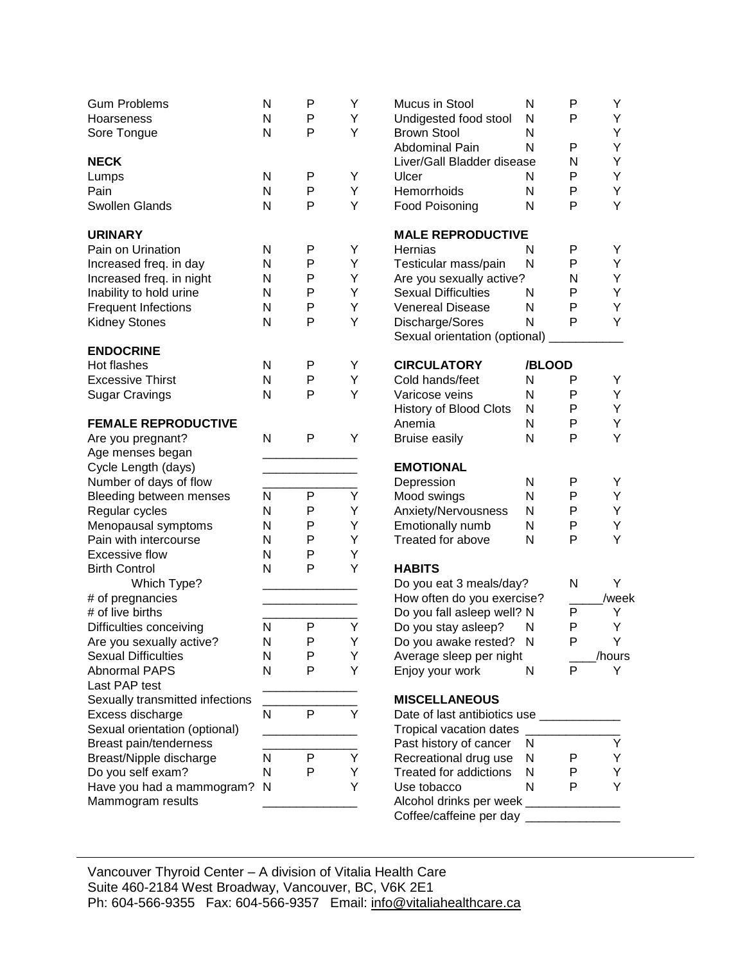| <b>Gum Problems</b>             | N | P         | Y | Mucus in Stool                          | N            | P            | Υ      |
|---------------------------------|---|-----------|---|-----------------------------------------|--------------|--------------|--------|
| Hoarseness                      | N | P         | Y | Undigested food stool                   | N            | P            | Υ      |
| Sore Tongue                     | N | P         | Y | <b>Brown Stool</b>                      | N            |              | Υ      |
|                                 |   |           |   | Abdominal Pain                          | N            | $\mathsf{P}$ | Υ      |
| <b>NECK</b>                     |   |           |   | Liver/Gall Bladder disease              |              | N            | Υ      |
| Lumps                           | N | P         | Y | Ulcer                                   | N            | P            | Υ      |
| Pain                            | N | P         | Y | Hemorrhoids                             | N            | P            | Υ      |
| Swollen Glands                  | N | P         | Y | Food Poisoning                          | N            | P            | Y      |
| <b>URINARY</b>                  |   |           |   | <b>MALE REPRODUCTIVE</b>                |              |              |        |
| Pain on Urination               | N | P         | Y | Hernias                                 | N            | P            | Y      |
| Increased freq. in day          | N | P         | Y | Testicular mass/pain                    | N            | P            | Υ      |
| Increased freq. in night        | N | P         | Υ | Are you sexually active?                |              | N            | Υ      |
| Inability to hold urine         | N | P         | Υ | <b>Sexual Difficulties</b>              | N            | P            | Υ      |
| <b>Frequent Infections</b>      | N | P         | Υ | <b>Venereal Disease</b>                 | N            | P            | Y      |
| <b>Kidney Stones</b>            | N | P         | Y | Discharge/Sores                         | $\mathsf{N}$ | P            | Y      |
|                                 |   |           |   | Sexual orientation (optional)           |              |              |        |
| <b>ENDOCRINE</b>                |   |           |   |                                         |              |              |        |
| Hot flashes                     | N | P         | Y | <b>CIRCULATORY</b>                      | /BLOOD       |              |        |
| <b>Excessive Thirst</b>         | N | P         | Υ | Cold hands/feet                         | N            | P            | Y      |
| <b>Sugar Cravings</b>           | N | P         | Y | Varicose veins                          | N            | P            | Y      |
|                                 |   |           |   | <b>History of Blood Clots</b>           | N            | P            | Υ      |
| <b>FEMALE REPRODUCTIVE</b>      |   |           |   | Anemia                                  | ${\sf N}$    | P            | Υ      |
| Are you pregnant?               | N | P         | Y | <b>Bruise easily</b>                    | N            | P            | Y      |
| Age menses began                |   |           |   |                                         |              |              |        |
| Cycle Length (days)             |   |           |   | <b>EMOTIONAL</b>                        |              |              |        |
| Number of days of flow          |   |           |   | Depression                              | N            | P            | Y      |
| Bleeding between menses         | N | P         | Υ | Mood swings                             | N            | P            | Υ      |
| Regular cycles                  | N | P         | Υ | Anxiety/Nervousness                     | N            | P            | Y      |
| Menopausal symptoms             | N | P         | Υ | Emotionally numb                        | N            | P            | Υ      |
| Pain with intercourse           | N | P         | Υ | Treated for above                       | N            | P            | Y      |
| <b>Excessive flow</b>           | N | P         | Υ |                                         |              |              |        |
| <b>Birth Control</b>            | N | P         | Υ | <b>HABITS</b>                           |              |              |        |
| Which Type?                     |   |           |   | Do you eat 3 meals/day?                 |              | N            | Υ      |
| # of pregnancies                |   |           |   | How often do you exercise?              |              |              | /week  |
| # of live births                |   |           |   | Do you fall asleep well? N              |              | P            | Υ      |
| Difficulties conceiving         | N | ${\sf P}$ | Υ | Do you stay asleep?                     | N            | P            | Υ      |
| Are you sexually active?        | N | P         | Υ | Do you awake rested? N                  |              | P            | Υ      |
| <b>Sexual Difficulties</b>      | N | P         | Y | Average sleep per night                 |              |              | /hours |
| <b>Abnormal PAPS</b>            | N | P         | Y | Enjoy your work                         | N            | P            | Y      |
| Last PAP test                   |   |           |   |                                         |              |              |        |
| Sexually transmitted infections |   |           |   | <b>MISCELLANEOUS</b>                    |              |              |        |
| Excess discharge                | N | P         | Y | Date of last antibiotics use __________ |              |              |        |
| Sexual orientation (optional)   |   |           |   | Tropical vacation dates                 |              |              |        |
| Breast pain/tenderness          |   |           |   | Past history of cancer                  | N            |              | Υ      |
| Breast/Nipple discharge         | N | P         | Y | Recreational drug use                   | N            | P            | Y      |
| Do you self exam?               | N | P         | Y | Treated for addictions                  | N            | P            | Υ      |
| Have you had a mammogram?       | N |           | Υ | Use tobacco                             | N            | P            | Υ      |
| Mammogram results               |   |           |   | Alcohol drinks per week _____________   |              |              |        |
|                                 |   |           |   | Coffee/caffeine per day                 |              |              |        |